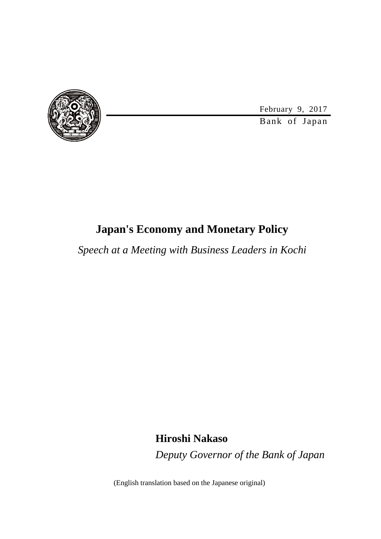

February 9, 2017

Bank of Japan

## **Japan's Economy and Monetary Policy**

*Speech at a Meeting with Business Leaders in Kochi*

**Hiroshi Nakaso**

*Deputy Governor of the Bank of Japan*

(English translation based on the Japanese original)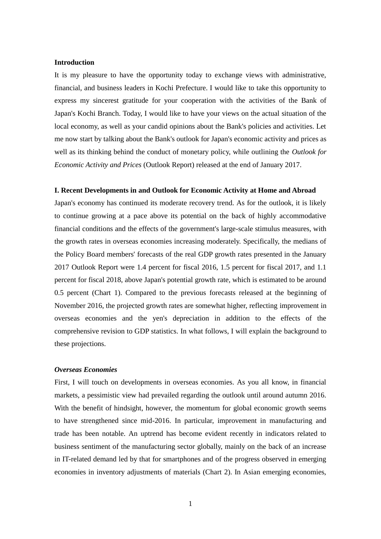### **Introduction**

It is my pleasure to have the opportunity today to exchange views with administrative, financial, and business leaders in Kochi Prefecture. I would like to take this opportunity to express my sincerest gratitude for your cooperation with the activities of the Bank of Japan's Kochi Branch. Today, I would like to have your views on the actual situation of the local economy, as well as your candid opinions about the Bank's policies and activities. Let me now start by talking about the Bank's outlook for Japan's economic activity and prices as well as its thinking behind the conduct of monetary policy, while outlining the *Outlook for Economic Activity and Prices* (Outlook Report) released at the end of January 2017.

#### **I. Recent Developments in and Outlook for Economic Activity at Home and Abroad**

Japan's economy has continued its moderate recovery trend. As for the outlook, it is likely to continue growing at a pace above its potential on the back of highly accommodative financial conditions and the effects of the government's large-scale stimulus measures, with the growth rates in overseas economies increasing moderately. Specifically, the medians of the Policy Board members' forecasts of the real GDP growth rates presented in the January 2017 Outlook Report were 1.4 percent for fiscal 2016, 1.5 percent for fiscal 2017, and 1.1 percent for fiscal 2018, above Japan's potential growth rate, which is estimated to be around 0.5 percent (Chart 1). Compared to the previous forecasts released at the beginning of November 2016, the projected growth rates are somewhat higher, reflecting improvement in overseas economies and the yen's depreciation in addition to the effects of the comprehensive revision to GDP statistics. In what follows, I will explain the background to these projections.

### *Overseas Economies*

First, I will touch on developments in overseas economies. As you all know, in financial markets, a pessimistic view had prevailed regarding the outlook until around autumn 2016. With the benefit of hindsight, however, the momentum for global economic growth seems to have strengthened since mid-2016. In particular, improvement in manufacturing and trade has been notable. An uptrend has become evident recently in indicators related to business sentiment of the manufacturing sector globally, mainly on the back of an increase in IT-related demand led by that for smartphones and of the progress observed in emerging economies in inventory adjustments of materials (Chart 2). In Asian emerging economies,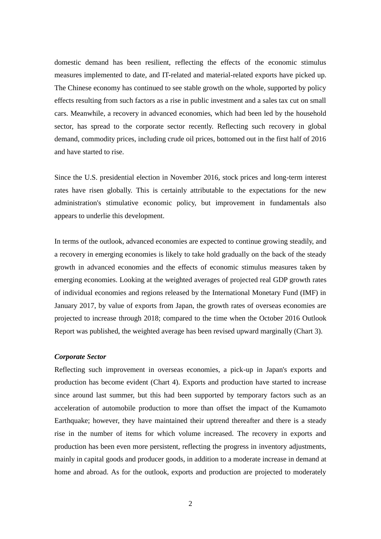domestic demand has been resilient, reflecting the effects of the economic stimulus measures implemented to date, and IT-related and material-related exports have picked up. The Chinese economy has continued to see stable growth on the whole, supported by policy effects resulting from such factors as a rise in public investment and a sales tax cut on small cars. Meanwhile, a recovery in advanced economies, which had been led by the household sector, has spread to the corporate sector recently. Reflecting such recovery in global demand, commodity prices, including crude oil prices, bottomed out in the first half of 2016 and have started to rise.

Since the U.S. presidential election in November 2016, stock prices and long-term interest rates have risen globally. This is certainly attributable to the expectations for the new administration's stimulative economic policy, but improvement in fundamentals also appears to underlie this development.

In terms of the outlook, advanced economies are expected to continue growing steadily, and a recovery in emerging economies is likely to take hold gradually on the back of the steady growth in advanced economies and the effects of economic stimulus measures taken by emerging economies. Looking at the weighted averages of projected real GDP growth rates of individual economies and regions released by the International Monetary Fund (IMF) in January 2017, by value of exports from Japan, the growth rates of overseas economies are projected to increase through 2018; compared to the time when the October 2016 Outlook Report was published, the weighted average has been revised upward marginally (Chart 3).

### *Corporate Sector*

Reflecting such improvement in overseas economies, a pick-up in Japan's exports and production has become evident (Chart 4). Exports and production have started to increase since around last summer, but this had been supported by temporary factors such as an acceleration of automobile production to more than offset the impact of the Kumamoto Earthquake; however, they have maintained their uptrend thereafter and there is a steady rise in the number of items for which volume increased. The recovery in exports and production has been even more persistent, reflecting the progress in inventory adjustments, mainly in capital goods and producer goods, in addition to a moderate increase in demand at home and abroad. As for the outlook, exports and production are projected to moderately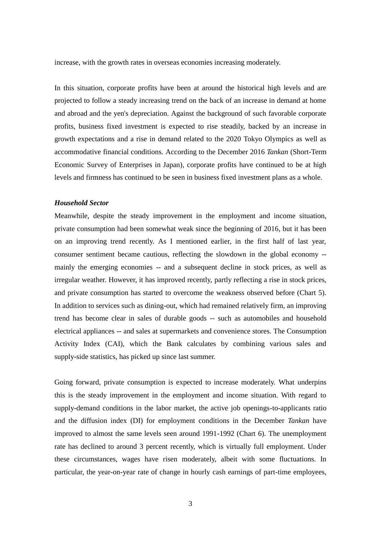increase, with the growth rates in overseas economies increasing moderately.

In this situation, corporate profits have been at around the historical high levels and are projected to follow a steady increasing trend on the back of an increase in demand at home and abroad and the yen's depreciation. Against the background of such favorable corporate profits, business fixed investment is expected to rise steadily, backed by an increase in growth expectations and a rise in demand related to the 2020 Tokyo Olympics as well as accommodative financial conditions. According to the December 2016 *Tankan* (Short-Term Economic Survey of Enterprises in Japan), corporate profits have continued to be at high levels and firmness has continued to be seen in business fixed investment plans as a whole.

### *Household Sector*

Meanwhile, despite the steady improvement in the employment and income situation, private consumption had been somewhat weak since the beginning of 2016, but it has been on an improving trend recently. As I mentioned earlier, in the first half of last year, consumer sentiment became cautious, reflecting the slowdown in the global economy - mainly the emerging economies -- and a subsequent decline in stock prices, as well as irregular weather. However, it has improved recently, partly reflecting a rise in stock prices, and private consumption has started to overcome the weakness observed before (Chart 5). In addition to services such as dining-out, which had remained relatively firm, an improving trend has become clear in sales of durable goods -- such as automobiles and household electrical appliances -- and sales at supermarkets and convenience stores. The Consumption Activity Index (CAI), which the Bank calculates by combining various sales and supply-side statistics, has picked up since last summer.

Going forward, private consumption is expected to increase moderately. What underpins this is the steady improvement in the employment and income situation. With regard to supply-demand conditions in the labor market, the active job openings-to-applicants ratio and the diffusion index (DI) for employment conditions in the December *Tankan* have improved to almost the same levels seen around 1991-1992 (Chart 6). The unemployment rate has declined to around 3 percent recently, which is virtually full employment. Under these circumstances, wages have risen moderately, albeit with some fluctuations. In particular, the year-on-year rate of change in hourly cash earnings of part-time employees,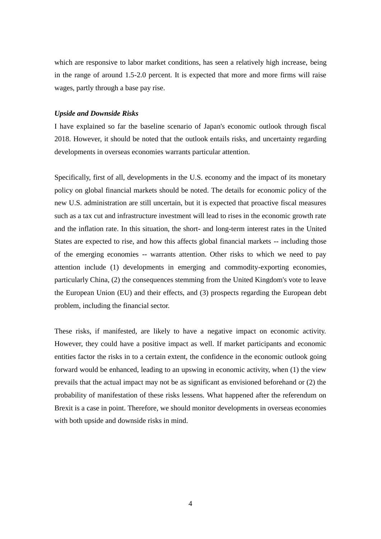which are responsive to labor market conditions, has seen a relatively high increase, being in the range of around 1.5-2.0 percent. It is expected that more and more firms will raise wages, partly through a base pay rise.

#### *Upside and Downside Risks*

I have explained so far the baseline scenario of Japan's economic outlook through fiscal 2018. However, it should be noted that the outlook entails risks, and uncertainty regarding developments in overseas economies warrants particular attention.

Specifically, first of all, developments in the U.S. economy and the impact of its monetary policy on global financial markets should be noted. The details for economic policy of the new U.S. administration are still uncertain, but it is expected that proactive fiscal measures such as a tax cut and infrastructure investment will lead to rises in the economic growth rate and the inflation rate. In this situation, the short- and long-term interest rates in the United States are expected to rise, and how this affects global financial markets -- including those of the emerging economies -- warrants attention. Other risks to which we need to pay attention include (1) developments in emerging and commodity-exporting economies, particularly China, (2) the consequences stemming from the United Kingdom's vote to leave the European Union (EU) and their effects, and (3) prospects regarding the European debt problem, including the financial sector.

These risks, if manifested, are likely to have a negative impact on economic activity. However, they could have a positive impact as well. If market participants and economic entities factor the risks in to a certain extent, the confidence in the economic outlook going forward would be enhanced, leading to an upswing in economic activity, when (1) the view prevails that the actual impact may not be as significant as envisioned beforehand or (2) the probability of manifestation of these risks lessens. What happened after the referendum on Brexit is a case in point. Therefore, we should monitor developments in overseas economies with both upside and downside risks in mind.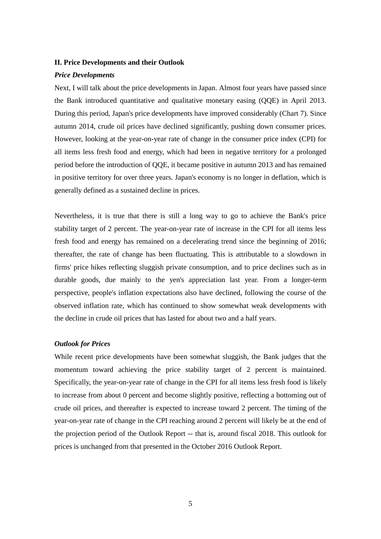### **II. Price Developments and their Outlook**

#### *Price Developments*

Next, I will talk about the price developments in Japan. Almost four years have passed since the Bank introduced quantitative and qualitative monetary easing (QQE) in April 2013. During this period, Japan's price developments have improved considerably (Chart 7). Since autumn 2014, crude oil prices have declined significantly, pushing down consumer prices. However, looking at the year-on-year rate of change in the consumer price index (CPI) for all items less fresh food and energy, which had been in negative territory for a prolonged period before the introduction of QQE, it became positive in autumn 2013 and has remained in positive territory for over three years. Japan's economy is no longer in deflation, which is generally defined as a sustained decline in prices.

Nevertheless, it is true that there is still a long way to go to achieve the Bank's price stability target of 2 percent. The year-on-year rate of increase in the CPI for all items less fresh food and energy has remained on a decelerating trend since the beginning of 2016; thereafter, the rate of change has been fluctuating. This is attributable to a slowdown in firms' price hikes reflecting sluggish private consumption, and to price declines such as in durable goods, due mainly to the yen's appreciation last year. From a longer-term perspective, people's inflation expectations also have declined, following the course of the observed inflation rate, which has continued to show somewhat weak developments with the decline in crude oil prices that has lasted for about two and a half years.

### *Outlook for Prices*

While recent price developments have been somewhat sluggish, the Bank judges that the momentum toward achieving the price stability target of 2 percent is maintained. Specifically, the year-on-year rate of change in the CPI for all items less fresh food is likely to increase from about 0 percent and become slightly positive, reflecting a bottoming out of crude oil prices, and thereafter is expected to increase toward 2 percent. The timing of the year-on-year rate of change in the CPI reaching around 2 percent will likely be at the end of the projection period of the Outlook Report -- that is, around fiscal 2018. This outlook for prices is unchanged from that presented in the October 2016 Outlook Report.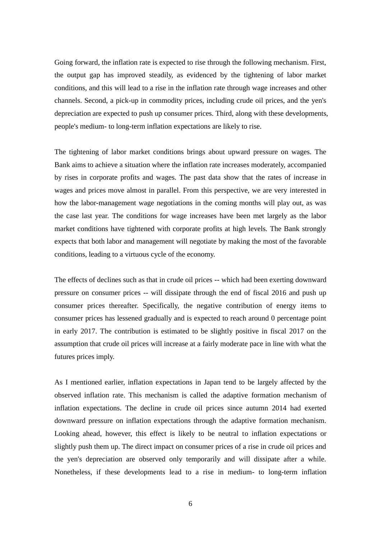Going forward, the inflation rate is expected to rise through the following mechanism. First, the output gap has improved steadily, as evidenced by the tightening of labor market conditions, and this will lead to a rise in the inflation rate through wage increases and other channels. Second, a pick-up in commodity prices, including crude oil prices, and the yen's depreciation are expected to push up consumer prices. Third, along with these developments, people's medium- to long-term inflation expectations are likely to rise.

The tightening of labor market conditions brings about upward pressure on wages. The Bank aims to achieve a situation where the inflation rate increases moderately, accompanied by rises in corporate profits and wages. The past data show that the rates of increase in wages and prices move almost in parallel. From this perspective, we are very interested in how the labor-management wage negotiations in the coming months will play out, as was the case last year. The conditions for wage increases have been met largely as the labor market conditions have tightened with corporate profits at high levels. The Bank strongly expects that both labor and management will negotiate by making the most of the favorable conditions, leading to a virtuous cycle of the economy.

The effects of declines such as that in crude oil prices -- which had been exerting downward pressure on consumer prices -- will dissipate through the end of fiscal 2016 and push up consumer prices thereafter. Specifically, the negative contribution of energy items to consumer prices has lessened gradually and is expected to reach around 0 percentage point in early 2017. The contribution is estimated to be slightly positive in fiscal 2017 on the assumption that crude oil prices will increase at a fairly moderate pace in line with what the futures prices imply.

As I mentioned earlier, inflation expectations in Japan tend to be largely affected by the observed inflation rate. This mechanism is called the adaptive formation mechanism of inflation expectations. The decline in crude oil prices since autumn 2014 had exerted downward pressure on inflation expectations through the adaptive formation mechanism. Looking ahead, however, this effect is likely to be neutral to inflation expectations or slightly push them up. The direct impact on consumer prices of a rise in crude oil prices and the yen's depreciation are observed only temporarily and will dissipate after a while. Nonetheless, if these developments lead to a rise in medium- to long-term inflation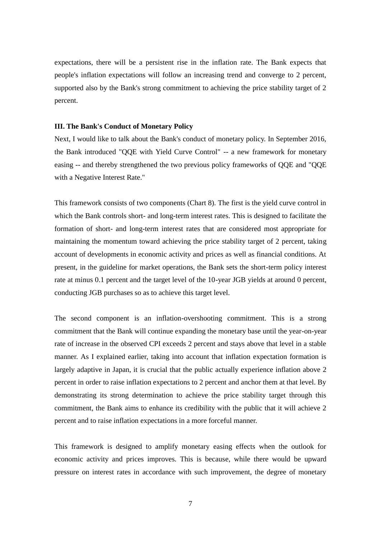expectations, there will be a persistent rise in the inflation rate. The Bank expects that people's inflation expectations will follow an increasing trend and converge to 2 percent, supported also by the Bank's strong commitment to achieving the price stability target of 2 percent.

### **III. The Bank's Conduct of Monetary Policy**

Next, I would like to talk about the Bank's conduct of monetary policy. In September 2016, the Bank introduced "QQE with Yield Curve Control" -- a new framework for monetary easing -- and thereby strengthened the two previous policy frameworks of QQE and "QQE with a Negative Interest Rate."

This framework consists of two components (Chart 8). The first is the yield curve control in which the Bank controls short- and long-term interest rates. This is designed to facilitate the formation of short- and long-term interest rates that are considered most appropriate for maintaining the momentum toward achieving the price stability target of 2 percent, taking account of developments in economic activity and prices as well as financial conditions. At present, in the guideline for market operations, the Bank sets the short-term policy interest rate at minus 0.1 percent and the target level of the 10-year JGB yields at around 0 percent, conducting JGB purchases so as to achieve this target level.

The second component is an inflation-overshooting commitment. This is a strong commitment that the Bank will continue expanding the monetary base until the year-on-year rate of increase in the observed CPI exceeds 2 percent and stays above that level in a stable manner. As I explained earlier, taking into account that inflation expectation formation is largely adaptive in Japan, it is crucial that the public actually experience inflation above 2 percent in order to raise inflation expectations to 2 percent and anchor them at that level. By demonstrating its strong determination to achieve the price stability target through this commitment, the Bank aims to enhance its credibility with the public that it will achieve 2 percent and to raise inflation expectations in a more forceful manner.

This framework is designed to amplify monetary easing effects when the outlook for economic activity and prices improves. This is because, while there would be upward pressure on interest rates in accordance with such improvement, the degree of monetary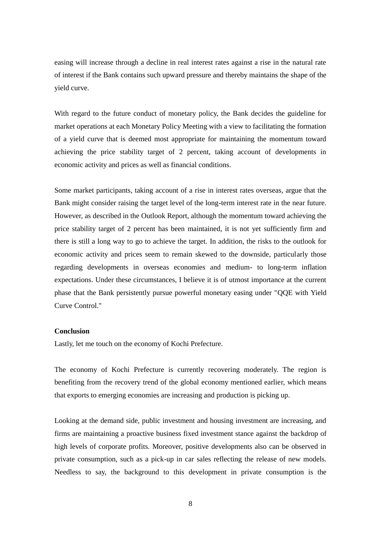easing will increase through a decline in real interest rates against a rise in the natural rate of interest if the Bank contains such upward pressure and thereby maintains the shape of the yield curve.

With regard to the future conduct of monetary policy, the Bank decides the guideline for market operations at each Monetary Policy Meeting with a view to facilitating the formation of a yield curve that is deemed most appropriate for maintaining the momentum toward achieving the price stability target of 2 percent, taking account of developments in economic activity and prices as well as financial conditions.

Some market participants, taking account of a rise in interest rates overseas, argue that the Bank might consider raising the target level of the long-term interest rate in the near future. However, as described in the Outlook Report, although the momentum toward achieving the price stability target of 2 percent has been maintained, it is not yet sufficiently firm and there is still a long way to go to achieve the target. In addition, the risks to the outlook for economic activity and prices seem to remain skewed to the downside, particularly those regarding developments in overseas economies and medium- to long-term inflation expectations. Under these circumstances, I believe it is of utmost importance at the current phase that the Bank persistently pursue powerful monetary easing under "QQE with Yield Curve Control."

### **Conclusion**

Lastly, let me touch on the economy of Kochi Prefecture.

The economy of Kochi Prefecture is currently recovering moderately. The region is benefiting from the recovery trend of the global economy mentioned earlier, which means that exports to emerging economies are increasing and production is picking up.

Looking at the demand side, public investment and housing investment are increasing, and firms are maintaining a proactive business fixed investment stance against the backdrop of high levels of corporate profits. Moreover, positive developments also can be observed in private consumption, such as a pick-up in car sales reflecting the release of new models. Needless to say, the background to this development in private consumption is the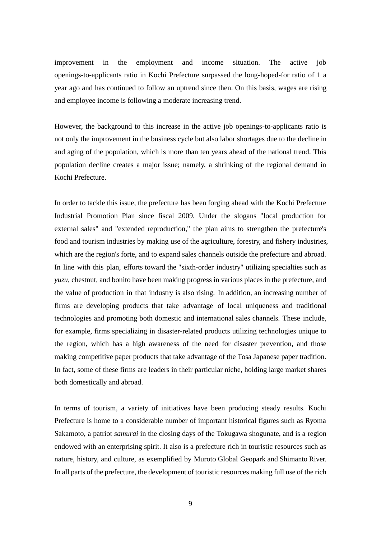improvement in the employment and income situation. The active job openings-to-applicants ratio in Kochi Prefecture surpassed the long-hoped-for ratio of 1 a year ago and has continued to follow an uptrend since then. On this basis, wages are rising and employee income is following a moderate increasing trend.

However, the background to this increase in the active job openings-to-applicants ratio is not only the improvement in the business cycle but also labor shortages due to the decline in and aging of the population, which is more than ten years ahead of the national trend. This population decline creates a major issue; namely, a shrinking of the regional demand in Kochi Prefecture.

In order to tackle this issue, the prefecture has been forging ahead with the Kochi Prefecture Industrial Promotion Plan since fiscal 2009. Under the slogans "local production for external sales" and "extended reproduction," the plan aims to strengthen the prefecture's food and tourism industries by making use of the agriculture, forestry, and fishery industries, which are the region's forte, and to expand sales channels outside the prefecture and abroad. In line with this plan, efforts toward the "sixth-order industry" utilizing specialties such as *yuzu*, chestnut, and bonito have been making progress in various places in the prefecture, and the value of production in that industry is also rising. In addition, an increasing number of firms are developing products that take advantage of local uniqueness and traditional technologies and promoting both domestic and international sales channels. These include, for example, firms specializing in disaster-related products utilizing technologies unique to the region, which has a high awareness of the need for disaster prevention, and those making competitive paper products that take advantage of the Tosa Japanese paper tradition. In fact, some of these firms are leaders in their particular niche, holding large market shares both domestically and abroad.

In terms of tourism, a variety of initiatives have been producing steady results. Kochi Prefecture is home to a considerable number of important historical figures such as Ryoma Sakamoto, a patriot *samurai* in the closing days of the Tokugawa shogunate, and is a region endowed with an enterprising spirit. It also is a prefecture rich in touristic resources such as nature, history, and culture, as exemplified by Muroto Global Geopark and Shimanto River. In all parts of the prefecture, the development of touristic resources making full use of the rich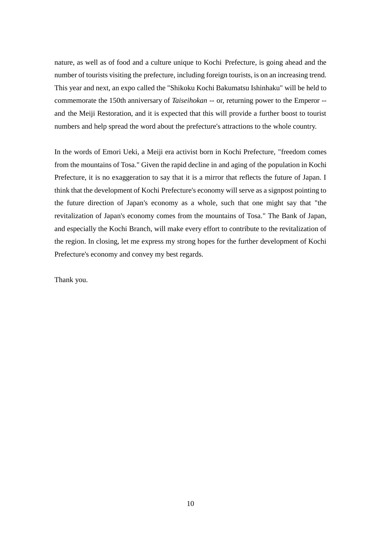nature, as well as of food and a culture unique to Kochi Prefecture, is going ahead and the number of tourists visiting the prefecture, including foreign tourists, is on an increasing trend. This year and next, an expo called the "Shikoku Kochi Bakumatsu Ishinhaku" will be held to commemorate the 150th anniversary of *Taiseihokan* -- or, returning power to the Emperor - and the Meiji Restoration, and it is expected that this will provide a further boost to tourist numbers and help spread the word about the prefecture's attractions to the whole country.

In the words of Emori Ueki, a Meiji era activist born in Kochi Prefecture, "freedom comes from the mountains of Tosa." Given the rapid decline in and aging of the population in Kochi Prefecture, it is no exaggeration to say that it is a mirror that reflects the future of Japan. I think that the development of Kochi Prefecture's economy will serve as a signpost pointing to the future direction of Japan's economy as a whole, such that one might say that "the revitalization of Japan's economy comes from the mountains of Tosa." The Bank of Japan, and especially the Kochi Branch, will make every effort to contribute to the revitalization of the region. In closing, let me express my strong hopes for the further development of Kochi Prefecture's economy and convey my best regards.

Thank you.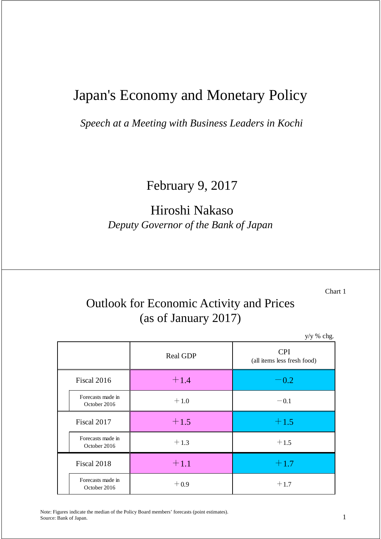# Japan's Economy and Monetary Policy

*Speech at a Meeting with Business Leaders in Kochi*

February 9, 2017

# Hiroshi Nakaso *Deputy Governor of the Bank of Japan*

Chart 1

# Outlook for Economic Activity and Prices (as of January 2017)

y/y % chg.

|  |                                   | <b>Real GDP</b> | <b>CPI</b>                  |
|--|-----------------------------------|-----------------|-----------------------------|
|  |                                   |                 | (all items less fresh food) |
|  | Fiscal 2016                       | $+1.4$          | $-0.2$                      |
|  | Forecasts made in<br>October 2016 | $+1.0$          | $-0.1$                      |
|  | Fiscal 2017                       | $+1.5$          | $+1.5$                      |
|  | Forecasts made in<br>October 2016 | $+1.3$          | $+1.5$                      |
|  | Fiscal 2018                       | $+1.1$          | $+1.7$                      |
|  | Forecasts made in<br>October 2016 | $+0.9$          | $+1.7$                      |

Note: Figures indicate the median of the Policy Board members' forecasts (point estimates). Source: Bank of Japan.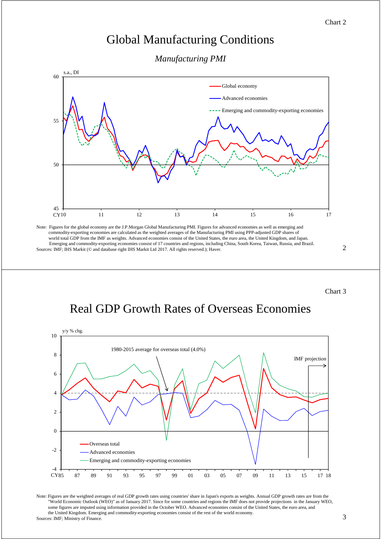### Global Manufacturing Conditions

*Manufacturing PMI*



Note: Figures for the global economy are the J.P.Morgan Global Manufacturing PMI. Figures for advanced economies as well as emerging and commodity-exporting economies are calculated as the weighted averages of the Manufacturing PMI using PPP-adjusted GDP shares of world total GDP from the IMF as weights. Advanced economies consist of the United States, the euro area, the United Kingdom, and Japan. Emerging and commodity-exporting economies consist of 17 countries and regions, including China, South Korea, Taiwan, Russia, and Brazil. Sources: IMF; IHS Markit (© and database right IHS Markit Ltd 2017. All rights reserved.); Haver.

2

Chart 3

# Real GDP Growth Rates of Overseas Economies



Note: Figures are the weighted averages of real GDP growth rates using countries' share in Japan's exports as weights. Annual GDP growth rates are from the "World Economic Outlook (WEO)" as of January 2017. Since for some countries and regions the IMF does not provide projections in the January WEO, some figures are imputed using information provided in the October WEO. Advanced economies consist of the United States, the euro area, and the United Kingdom. Emerging and commodity-exporting economies consist of the rest of the world economy. Sources: IMF; Ministry of Finance.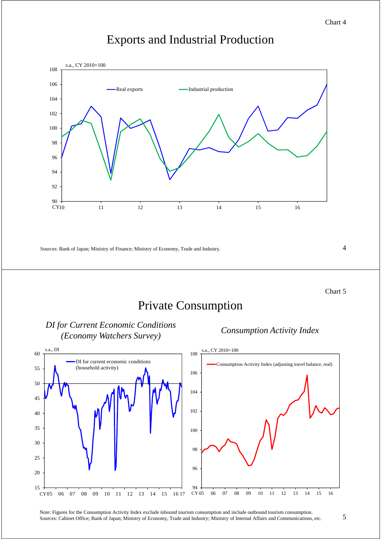### Exports and Industrial Production



Sources: Bank of Japan; Ministry of Finance; Ministry of Economy, Trade and Industry.

4

Chart 5

# Private Consumption



*DI for Current Economic Conditions (Economy Watchers Survey) Consumption Activity Index*

Note: Figures for the Consumption Activity Index exclude inbound tourism consumption and include outbound tourism consumption. Sources: Cabinet Office; Bank of Japan; Ministry of Economy, Trade and Industry; Ministry of Internal Affairs and Communications, etc.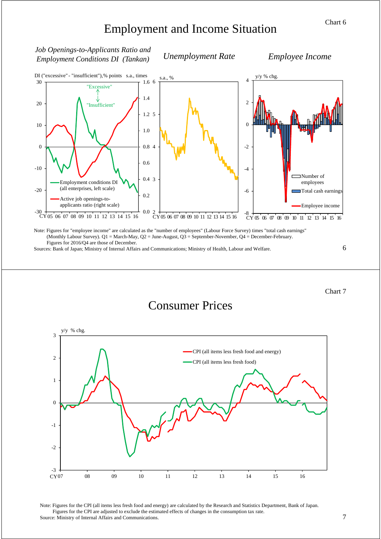# Employment and Income Situation



Figures for 2016/Q4 are those of December.

*Job Openings-to-Applicants Ratio and* 

*Employment Conditions DI (Tankan) Unemployment Rate*

Sources: Bank of Japan; Ministry of Internal Affairs and Communications; Ministry of Health, Labour and Welfare.

6

Chart 7

### Consumer Prices



Note: Figures for the CPI (all items less fresh food and energy) are calculated by the Research and Statistics Department, Bank of Japan. Figures for the CPI are adjusted to exclude the estimated effects of changes in the consumption tax rate. Source: Ministry of Internal Affairs and Communications.

*Employee Income*